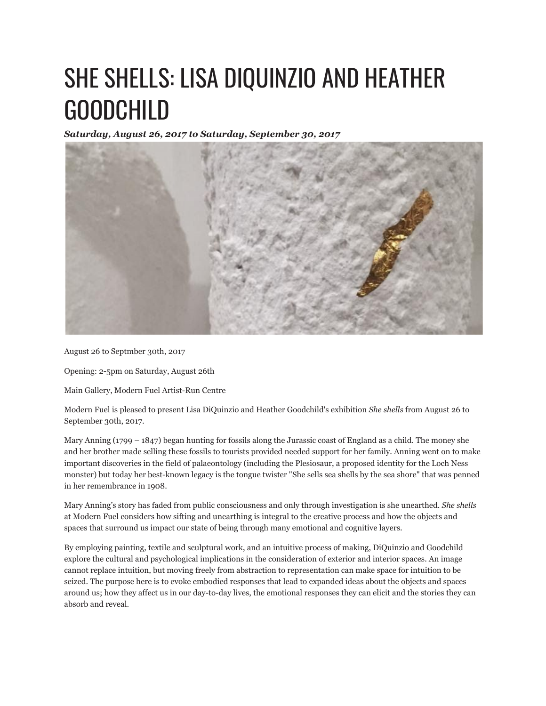## SHE SHELLS: LISA DIQUINZIO AND HEATHER GOODCHILD

*Saturday, August 26, 2017 to Saturday, September 30, 2017*



August 26 to Septmber 30th, 2017

Opening: 2-5pm on Saturday, August 26th

Main Gallery, Modern Fuel Artist-Run Centre

Modern Fuel is pleased to present Lisa DiQuinzio and Heather Goodchild's exhibition *She shells* from August 26 to September 30th, 2017.

Mary Anning (1799 – 1847) began hunting for fossils along the Jurassic coast of England as a child. The money she and her brother made selling these fossils to tourists provided needed support for her family. Anning went on to make important discoveries in the field of palaeontology (including the Plesiosaur, a proposed identity for the Loch Ness monster) but today her best-known legacy is the tongue twister "She sells sea shells by the sea shore" that was penned in her remembrance in 1908.

Mary Anning's story has faded from public consciousness and only through investigation is she unearthed. *She shells* at Modern Fuel considers how sifting and unearthing is integral to the creative process and how the objects and spaces that surround us impact our state of being through many emotional and cognitive layers.

By employing painting, textile and sculptural work, and an intuitive process of making, DiQuinzio and Goodchild explore the cultural and psychological implications in the consideration of exterior and interior spaces. An image cannot replace intuition, but moving freely from abstraction to representation can make space for intuition to be seized. The purpose here is to evoke embodied responses that lead to expanded ideas about the objects and spaces around us; how they affect us in our day-to-day lives, the emotional responses they can elicit and the stories they can absorb and reveal.